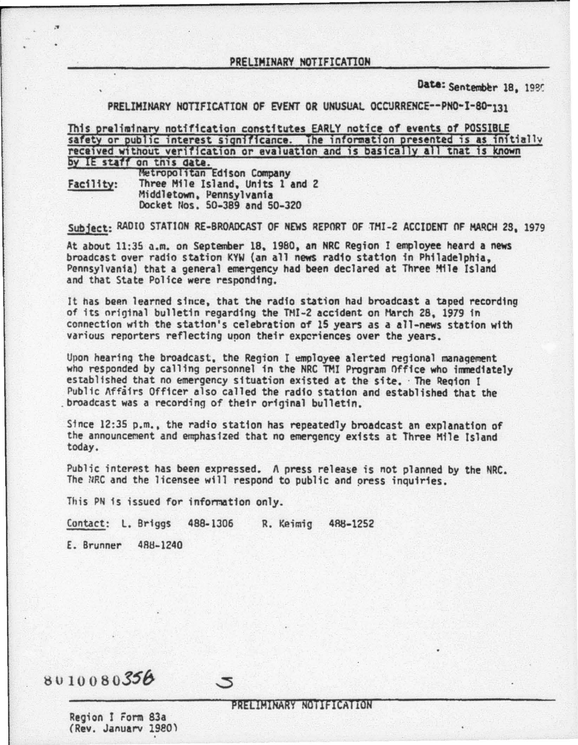Date: Sentember 18, 1985

PRELIMINARY NOTIFICATION OF EVENT OR UNUSUAL OCCURRENCE--PNO-I-80-131

This preliminary notification constitutes EARLY notice of events of POSSIBLE safety or public interest significance. The information presented is as initially received without verification or evaluation and is basically all tnat is known by IE staff on this date.<br>Metropolitan Edison Company Facility: Three Mile Island, Units 1 and 2 Middletown, Pennsylvania Docket Nos. 50-389 and 50-320

Subject: RADIO STATION RE-BROADCAST OF NEWS REPORT OF TMI-2 ACCIDENT OF MARCH 2S, 1979

At about 11:35 a.m. on September 18, 1980, an NRC Region I employee heard a news<br>broadcast over radio station KYW (an all news radio station in Philadelphia. Pennsylvania) that a general emergency had been declared at Three ~lie Island and that State Police were responding.

It has been learned since, that the radio station had broadcast a taped recording of its original bulletin regarding the TMI-2 accident on March 28, 1979 in connection with the station's celebration of 15 years as a all-news station with various reporters reflecting upon their experiences over the years.

Upon hearing the broadcast, the Region I employee alerted regional management<br>who responded by calling personnel in the NRC TMI Program Office who immediately<br>established that no emergency situation existed at the site. Th Public Affairs Officer also called the radio station and established that the broadcast was a recording of their original bulletin.

Since 12:35 p.m., the radio station has repeatedly broadcast an explanation of the announcement and emphasized that no emergency exists at Three Hfle Island today.

Public interest has been expressed. A press release is not planned by the NRC. The NRC and the licensee will respond to public and oress inquiries.

This PN is issued for information only.

Contact: L. Briggs 488-1306 R. Keimig 4SB-1252

5

E. Brunner 488-1240

·"'

## 8010080356

## PRELIMINARY NOTIFICATION

Region I rorm 83a (Rev. January 1980)